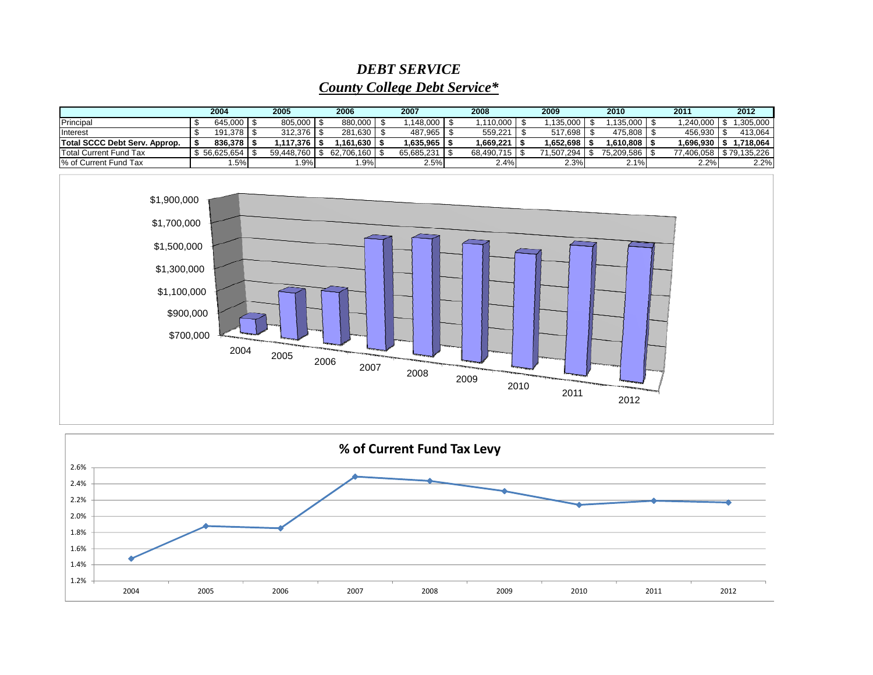## *DEBT SERVICE*

## *County College Debt Service\**

|                               | 2004                 | 2005           | 2006       | 2007             | 2008       | 2009       | 2010       | 2011                      | 2012      |
|-------------------------------|----------------------|----------------|------------|------------------|------------|------------|------------|---------------------------|-----------|
| Principal                     | 645.000 \$           | $805.000$ \ \$ | 880.000    | .148.000         | .110.000   | 135.000    | .135.000   | .240.000                  | .305.000  |
| Interest                      | $191.378$ $\sqrt{5}$ | $312.376$ S    | 281.630    | 487.965          | 559.221    | 517.698    | 475.808    | 456.930                   | 413.064   |
| Total SCCC Debt Serv. Approp. | $836.378$ S          | 1.117.376丨\$   | 161.630    | $.635.965$ $ $ : | 1.669.221  | 1.652.698  | 1.610.808  | 1.696.930                 | 1.718.064 |
| <b>Total Current Fund Tax</b> | 56.625.654           | 59.448.760     | 62.706.160 | 65.685.231       | 68.490.715 | 71.507.294 | 75.209.586 | 77,406,058   \$79,135,226 |           |
| % of Current Fund Tax         | .5%                  | .9%            | $.9\%$     | 2.5%             | 2.4%       | 2.3%       | 2.1%       | 2.2%                      | 2.2%      |